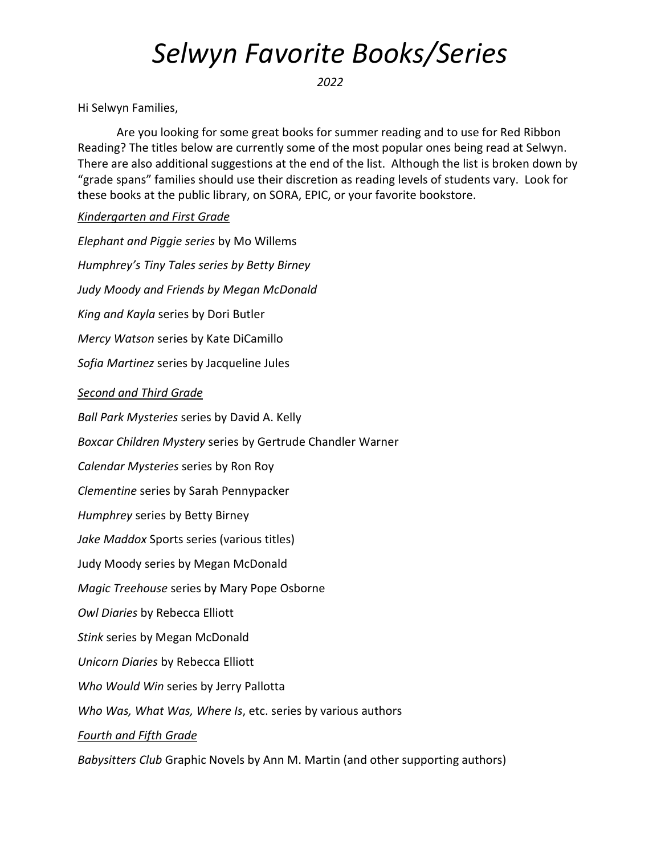## *Selwyn Favorite Books/Series*

*2022*

Hi Selwyn Families,

Are you looking for some great books for summer reading and to use for Red Ribbon Reading? The titles below are currently some of the most popular ones being read at Selwyn. There are also additional suggestions at the end of the list. Although the list is broken down by "grade spans" families should use their discretion as reading levels of students vary. Look for these books at the public library, on SORA, EPIC, or your favorite bookstore.

## *Kindergarten and First Grade*

*Elephant and Piggie series* by Mo Willems *Humphrey's Tiny Tales series by Betty Birney Judy Moody and Friends by Megan McDonald King and Kayla* series by Dori Butler *Mercy Watson* series by Kate DiCamillo *Sofia Martinez* series by Jacqueline Jules *Second and Third Grade Ball Park Mysteries* series by David A. Kelly *Boxcar Children Mystery* series by Gertrude Chandler Warner *Calendar Mysteries* series by Ron Roy *Clementine* series by Sarah Pennypacker *Humphrey* series by Betty Birney *Jake Maddox* Sports series (various titles) Judy Moody series by Megan McDonald *Magic Treehouse* series by Mary Pope Osborne *Owl Diaries* by Rebecca Elliott *Stink* series by Megan McDonald *Unicorn Diaries* by Rebecca Elliott *Who Would Win* series by Jerry Pallotta *Who Was, What Was, Where Is*, etc. series by various authors *Fourth and Fifth Grade Babysitters Club* Graphic Novels by Ann M. Martin (and other supporting authors)